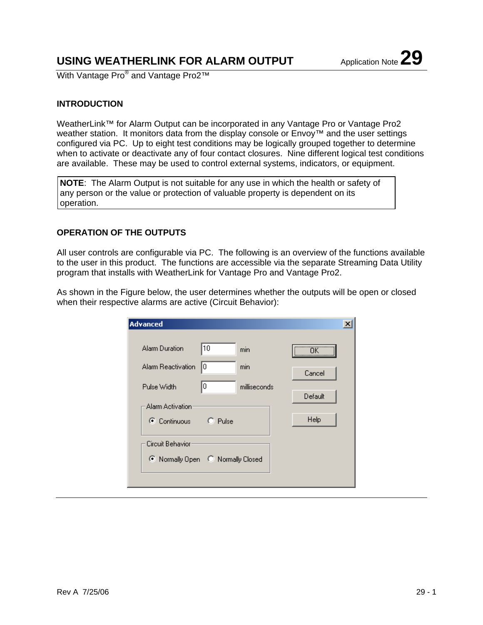# **USING WEATHERLINK FOR ALARM OUTPUT** Application Note 29

With Vantage Pro<sup>®</sup> and Vantage Pro2<sup>™</sup>

# **INTRODUCTION**

WeatherLink™ for Alarm Output can be incorporated in any Vantage Pro or Vantage Pro2 weather station. It monitors data from the display console or Envoy™ and the user settings configured via PC. Up to eight test conditions may be logically grouped together to determine when to activate or deactivate any of four contact closures. Nine different logical test conditions are available. These may be used to control external systems, indicators, or equipment.

**NOTE**: The Alarm Output is not suitable for any use in which the health or safety of any person or the value or protection of valuable property is dependent on its operation.

### **OPERATION OF THE OUTPUTS**

All user controls are configurable via PC. The following is an overview of the functions available to the user in this product. The functions are accessible via the separate Streaming Data Utility program that installs with WeatherLink for Vantage Pro and Vantage Pro2.

As shown in the Figure below, the user determines whether the outputs will be open or closed when their respective alarms are active (Circuit Behavior):

| <b>Advanced</b>                                                                                                          | $\boldsymbol{\mathsf{x}}$    |
|--------------------------------------------------------------------------------------------------------------------------|------------------------------|
| 10<br>Alarm Duration<br>min<br>Alarm Reactivation<br>10<br>min<br>10<br>Pulse Width<br>milliseconds<br>-Alarm Activation | <u></u><br>Cancel<br>Default |
| C Continuous<br>$C$ Pulse                                                                                                | Help                         |
| Circuit Behavior<br>C Normally Open C Normally Closed                                                                    |                              |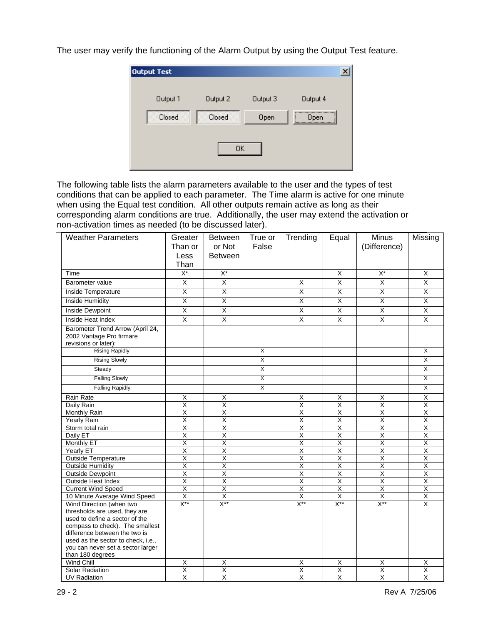The user may verify the functioning of the Alarm Output by using the Output Test feature.



The following table lists the alarm parameters available to the user and the types of test conditions that can be applied to each parameter. The Time alarm is active for one minute when using the Equal test condition. All other outputs remain active as long as their corresponding alarm conditions are true. Additionally, the user may extend the activation or non-activation times as needed (to be discussed later).

| <b>Weather Parameters</b>                                                                                                                                                                                                                                      | Greater<br>Than or      | <b>Between</b><br>or Not | True or<br>False        | Trending                | Equal                   | <b>Minus</b><br>(Difference) | Missing                 |
|----------------------------------------------------------------------------------------------------------------------------------------------------------------------------------------------------------------------------------------------------------------|-------------------------|--------------------------|-------------------------|-------------------------|-------------------------|------------------------------|-------------------------|
|                                                                                                                                                                                                                                                                | Less                    | <b>Between</b>           |                         |                         |                         |                              |                         |
|                                                                                                                                                                                                                                                                | Than                    |                          |                         |                         |                         |                              |                         |
| Time                                                                                                                                                                                                                                                           | $X^*$                   | $X^*$                    |                         |                         | X                       | $X^*$                        | X                       |
| Barometer value                                                                                                                                                                                                                                                | $\overline{\mathsf{x}}$ | $\overline{\mathsf{x}}$  |                         | $\overline{\mathsf{x}}$ | X                       | $\overline{\mathsf{x}}$      | $\overline{\mathsf{x}}$ |
| Inside Temperature                                                                                                                                                                                                                                             | $\overline{\mathsf{x}}$ | $\overline{\mathsf{x}}$  |                         | $\overline{\mathsf{x}}$ | X                       | $\overline{\mathsf{x}}$      | X                       |
| Inside Humidity                                                                                                                                                                                                                                                | $\overline{X}$          | $\overline{\mathsf{x}}$  |                         | $\overline{X}$          | X                       | $\overline{\mathsf{x}}$      | $\overline{X}$          |
| <b>Inside Dewpoint</b>                                                                                                                                                                                                                                         | $\overline{\mathsf{x}}$ | $\overline{\mathsf{x}}$  |                         | $\overline{\mathsf{x}}$ | $\overline{X}$          | χ                            | $\overline{X}$          |
| Inside Heat Index                                                                                                                                                                                                                                              | X                       | $\overline{X}$           |                         | $\overline{\mathsf{x}}$ | X                       | $\overline{X}$               | X                       |
| Barometer Trend Arrow (April 24,<br>2002 Vantage Pro firmare<br>revisions or later):                                                                                                                                                                           |                         |                          |                         |                         |                         |                              |                         |
| <b>Rising Rapidly</b>                                                                                                                                                                                                                                          |                         |                          | X                       |                         |                         |                              | X                       |
| <b>Rising Slowly</b>                                                                                                                                                                                                                                           |                         |                          | $\overline{\mathsf{x}}$ |                         |                         |                              | X                       |
| Steady                                                                                                                                                                                                                                                         |                         |                          | Χ                       |                         |                         |                              | X                       |
| <b>Falling Slowly</b>                                                                                                                                                                                                                                          |                         |                          | $\overline{X}$          |                         |                         |                              | X                       |
| <b>Falling Rapidly</b>                                                                                                                                                                                                                                         |                         |                          | $\overline{\mathsf{x}}$ |                         |                         |                              | X                       |
| Rain Rate                                                                                                                                                                                                                                                      | X                       | Χ                        |                         | X                       | Х                       | X                            | X                       |
| Daily Rain                                                                                                                                                                                                                                                     | $\overline{\mathsf{x}}$ | Χ                        |                         | $\overline{\mathsf{x}}$ | Χ                       | $\overline{\mathsf{X}}$      | $\overline{\mathsf{x}}$ |
| <b>Monthly Rain</b>                                                                                                                                                                                                                                            | Χ                       | Χ                        |                         | Χ                       | Χ                       | Χ                            | $\overline{\mathsf{x}}$ |
| Yearly Rain                                                                                                                                                                                                                                                    | $\overline{\mathsf{x}}$ | Χ                        |                         | $\pmb{\mathsf{X}}$      | X                       | $\overline{\mathsf{x}}$      | X                       |
| Storm total rain                                                                                                                                                                                                                                               | $\overline{\mathsf{x}}$ | $\overline{\mathsf{x}}$  |                         | $\overline{\mathsf{x}}$ | $\overline{\mathsf{x}}$ | $\overline{\mathsf{x}}$      | $\overline{\mathsf{x}}$ |
| Daily ET                                                                                                                                                                                                                                                       | $\overline{\mathsf{x}}$ | $\overline{\mathsf{x}}$  |                         | X                       | $\overline{\mathsf{x}}$ | X                            | X                       |
| <b>Monthly ET</b>                                                                                                                                                                                                                                              | $\overline{\mathsf{x}}$ | Χ                        |                         | $\overline{\mathsf{x}}$ | Χ                       | Χ                            | $\overline{\mathsf{x}}$ |
| Yearly ET                                                                                                                                                                                                                                                      | $\overline{X}$          | $\overline{\mathsf{x}}$  |                         | $\overline{\mathsf{x}}$ | $\overline{\mathsf{x}}$ | $\overline{\mathsf{x}}$      | X                       |
| <b>Outside Temperature</b>                                                                                                                                                                                                                                     | X                       | X                        |                         | Χ                       | X                       | X                            | X                       |
| <b>Outside Humidity</b>                                                                                                                                                                                                                                        | $\overline{\mathsf{x}}$ | Χ                        |                         | $\overline{\mathsf{x}}$ | Χ                       | Χ                            | $\overline{\mathsf{x}}$ |
| <b>Outside Dewpoint</b>                                                                                                                                                                                                                                        | Χ                       | Χ                        |                         | Χ                       | Χ                       | Χ                            | Χ                       |
| <b>Outside Heat Index</b>                                                                                                                                                                                                                                      | X                       | $\overline{X}$           |                         | X                       | X                       | X                            | X                       |
| <b>Current Wind Speed</b>                                                                                                                                                                                                                                      | $\overline{X}$          | $\overline{\mathsf{x}}$  |                         | $\pmb{\mathsf{X}}$      | $\overline{\mathsf{X}}$ | $\overline{X}$               | $\overline{\mathsf{X}}$ |
| 10 Minute Average Wind Speed                                                                                                                                                                                                                                   | $\overline{\mathsf{X}}$ | $\overline{\mathsf{X}}$  |                         | X                       | $\overline{\mathsf{x}}$ | $\overline{\mathsf{X}}$      | Χ                       |
| Wind Direction (when two<br>thresholds are used, they are<br>used to define a sector of the<br>compass to check). The smallest<br>difference between the two is<br>used as the sector to check, i.e.,<br>you can never set a sector larger<br>than 180 degrees | $X^{\ast\ast}$          | $X^{\ast\ast}$           |                         | $X^{**}$                | $X^{\ast\ast}$          | $X^{\ast\ast}$               | $\overline{\mathsf{x}}$ |
| <b>Wind Chill</b>                                                                                                                                                                                                                                              | X                       | Χ                        |                         | Χ                       | Χ                       | X                            | х                       |
| <b>Solar Radiation</b>                                                                                                                                                                                                                                         | $\overline{\mathsf{x}}$ | $\overline{\mathsf{x}}$  |                         | $\overline{\mathsf{x}}$ | $\overline{\mathsf{x}}$ | $\overline{\mathsf{x}}$      | $\overline{\mathsf{x}}$ |
| <b>UV Radiation</b>                                                                                                                                                                                                                                            | $\overline{\mathsf{x}}$ | X                        |                         | $\pmb{\mathsf{X}}$      | X                       | X                            | $\overline{\mathsf{X}}$ |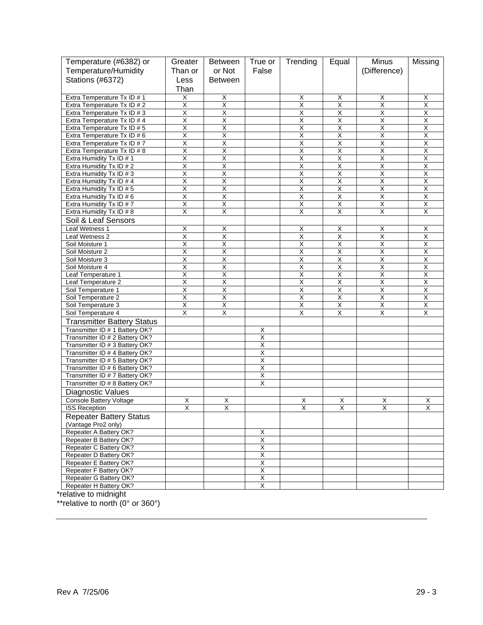| Temperature (#6382) or                        | Greater                 | <b>Between</b>          | True or                 | Trending                | Equal                   | Minus                   | Missing                 |
|-----------------------------------------------|-------------------------|-------------------------|-------------------------|-------------------------|-------------------------|-------------------------|-------------------------|
| Temperature/Humidity                          | Than or                 | or Not                  | False                   |                         |                         | (Difference)            |                         |
|                                               |                         |                         |                         |                         |                         |                         |                         |
| Stations (#6372)                              | Less                    | <b>Between</b>          |                         |                         |                         |                         |                         |
|                                               | Than                    |                         |                         |                         |                         |                         |                         |
| Extra Temperature Tx ID # 1                   | X                       | $\overline{\mathsf{x}}$ |                         | X                       | X                       | X                       | X                       |
| Extra Temperature Tx ID # 2                   | $\overline{\mathsf{X}}$ | $\overline{\mathsf{X}}$ |                         | $\overline{\mathsf{X}}$ | $\overline{\mathsf{X}}$ | $\overline{\mathsf{x}}$ | $\overline{\mathsf{x}}$ |
| Extra Temperature Tx ID # 3                   | X                       | X                       |                         | Χ                       | Χ                       | Χ                       | х                       |
| Extra Temperature Tx ID # 4                   | $\overline{\mathsf{x}}$ | $\overline{\mathsf{x}}$ |                         | $\overline{\mathsf{x}}$ | $\overline{\mathsf{x}}$ | X                       | X                       |
| Extra Temperature Tx ID # 5                   | $\overline{\mathsf{x}}$ | $\overline{\mathsf{x}}$ |                         | $\overline{\mathsf{X}}$ | $\overline{\mathsf{x}}$ | Χ                       | Χ                       |
| Extra Temperature Tx ID # 6                   | Χ                       | X                       |                         | $\overline{\mathsf{x}}$ | X                       | Χ                       | Χ                       |
| Extra Temperature Tx ID # 7                   | $\overline{X}$          | $\overline{\mathsf{X}}$ |                         | $\overline{\mathsf{X}}$ | $\overline{X}$          | $\overline{X}$          | Χ                       |
| Extra Temperature Tx ID # 8                   | $\overline{\mathsf{X}}$ | $\overline{\mathsf{x}}$ |                         | $\overline{\mathsf{X}}$ | $\overline{\mathsf{x}}$ | $\overline{\mathsf{x}}$ | Χ                       |
| Extra Humidity Tx ID # 1                      | $\overline{\mathsf{x}}$ | $\overline{\mathsf{x}}$ |                         | $\overline{\mathsf{x}}$ | $\overline{\mathsf{x}}$ | $\overline{\mathsf{X}}$ | $\overline{\mathsf{x}}$ |
| Extra Humidity Tx ID # 2                      | Χ                       | $\overline{\mathsf{x}}$ |                         | Χ                       | $\overline{\mathsf{x}}$ | Χ                       | $\overline{\mathsf{x}}$ |
| Extra Humidity Tx ID # 3                      | $\overline{\mathsf{x}}$ | $\overline{X}$          |                         | $\overline{X}$          | Χ                       | $\overline{\mathsf{x}}$ | X                       |
| Extra Humidity Tx ID # 4                      | $\overline{\mathsf{x}}$ | $\overline{\mathsf{x}}$ |                         | $\overline{\mathsf{x}}$ | $\overline{\mathsf{x}}$ | $\overline{\mathsf{x}}$ | $\overline{\mathsf{x}}$ |
| Extra Humidity Tx ID # 5                      | Χ                       | X                       |                         | X                       | X                       | Χ                       | Χ                       |
| Extra Humidity Tx ID # 6                      | $\overline{\mathsf{x}}$ | $\overline{\mathsf{x}}$ |                         | $\overline{\mathsf{x}}$ | $\overline{\mathsf{x}}$ | $\overline{\mathsf{x}}$ | $\overline{\mathsf{x}}$ |
| Extra Humidity Tx ID # 7                      | $\overline{\mathsf{x}}$ | $\overline{\mathsf{x}}$ |                         | $\overline{X}$          | $\overline{\mathsf{x}}$ | $\overline{\mathsf{x}}$ | $\overline{\mathsf{x}}$ |
| Extra Humidity Tx ID # 8                      | X                       | X                       |                         | $\times$                | X                       | X                       | X                       |
| Soil & Leaf Sensors                           |                         |                         |                         |                         |                         |                         |                         |
| Leaf Wetness 1                                | Χ                       | X                       |                         | $\overline{X}$          | X                       | X                       | X                       |
| Leaf Wetness 2                                | $\overline{\mathsf{X}}$ | $\overline{\mathsf{x}}$ |                         | $\overline{\mathsf{X}}$ | $\overline{\mathsf{X}}$ | $\overline{\mathsf{X}}$ | Χ                       |
| Soil Moisture 1                               | Χ                       | $\overline{\mathsf{x}}$ |                         | X                       | X                       | $\overline{\mathsf{x}}$ | X                       |
| Soil Moisture 2                               | $\overline{\mathsf{x}}$ | $\overline{X}$          |                         | $\overline{X}$          | Χ                       | $\overline{X}$          | Χ                       |
| Soil Moisture 3                               | X                       | $\overline{\mathsf{x}}$ |                         | $\overline{\mathsf{x}}$ | Χ                       | X                       | X                       |
| Soil Moisture 4                               | Χ                       | $\overline{\mathsf{x}}$ |                         | $\overline{\mathsf{x}}$ | $\overline{\mathsf{x}}$ | $\overline{\mathsf{x}}$ | $\overline{\mathsf{x}}$ |
| Leaf Temperature 1                            | $\overline{\mathsf{X}}$ | $\overline{\mathsf{x}}$ |                         | Χ                       | Χ                       | $\overline{\mathsf{x}}$ | Χ                       |
| Leaf Temperature 2                            | $\overline{\mathsf{x}}$ | $\overline{\mathsf{x}}$ |                         | $\overline{\mathsf{x}}$ | $\overline{\mathsf{x}}$ | $\overline{\mathsf{x}}$ | $\overline{\mathsf{x}}$ |
| Soil Temperature 1                            | $\overline{\mathsf{x}}$ | $\overline{\mathsf{x}}$ |                         | $\overline{\mathsf{X}}$ | $\overline{\mathsf{x}}$ | $\overline{\mathsf{x}}$ | $\overline{\mathsf{X}}$ |
| Soil Temperature 2                            | $\overline{\mathsf{X}}$ | $\overline{\mathsf{x}}$ |                         | $\overline{\mathsf{X}}$ | $\overline{\mathsf{x}}$ | $\overline{\mathsf{x}}$ | Χ                       |
| Soil Temperature 3                            | $\overline{\mathsf{X}}$ | $\overline{\mathsf{x}}$ |                         | $\overline{\mathsf{x}}$ | $\overline{\mathsf{x}}$ | $\overline{\mathsf{x}}$ | $\overline{\mathsf{x}}$ |
| Soil Temperature 4                            | Χ                       | X                       |                         | X                       | X                       | Χ                       | X                       |
| <b>Transmitter Battery Status</b>             |                         |                         |                         |                         |                         |                         |                         |
| Transmitter ID # 1 Battery OK?                |                         |                         | Х                       |                         |                         |                         |                         |
| Transmitter ID # 2 Battery OK?                |                         |                         | $\overline{\mathsf{x}}$ |                         |                         |                         |                         |
| Transmitter ID # 3 Battery OK?                |                         |                         | Χ                       |                         |                         |                         |                         |
| Transmitter ID # 4 Battery OK?                |                         |                         | $\overline{X}$          |                         |                         |                         |                         |
| Transmitter ID # 5 Battery OK?                |                         |                         | X                       |                         |                         |                         |                         |
| Transmitter ID # 6 Battery OK?                |                         |                         | $\overline{\mathsf{x}}$ |                         |                         |                         |                         |
| Transmitter ID # 7 Battery OK?                |                         |                         | $\overline{\mathsf{x}}$ |                         |                         |                         |                         |
| Transmitter ID # 8 Battery OK?                |                         |                         | х                       |                         |                         |                         |                         |
| Diagnostic Values                             |                         |                         |                         |                         |                         |                         |                         |
| <b>Console Battery Voltage</b>                | Χ                       | X                       |                         | X                       | X                       | X                       | X                       |
| <b>ISS Reception</b>                          | X                       | Χ                       |                         | Χ                       | Χ                       | Χ                       | Χ                       |
|                                               |                         |                         |                         |                         |                         |                         |                         |
| <b>Repeater Battery Status</b>                |                         |                         |                         |                         |                         |                         |                         |
| (Vantage Pro2 only)<br>Repeater A Battery OK? |                         |                         |                         |                         |                         |                         |                         |
|                                               |                         |                         | $\overline{X}$          |                         |                         |                         |                         |
| Repeater B Battery OK?                        |                         |                         | $\overline{\mathsf{X}}$ |                         |                         |                         |                         |
| Repeater C Battery OK?                        |                         |                         | Χ                       |                         |                         |                         |                         |
| Repeater D Battery OK?                        |                         |                         | $\overline{X}$          |                         |                         |                         |                         |
| Repeater E Battery OK?                        |                         |                         | $\overline{\mathsf{x}}$ |                         |                         |                         |                         |
| Repeater F Battery OK?                        |                         |                         | χ                       |                         |                         |                         |                         |
| Repeater G Battery OK?                        |                         |                         | $\overline{X}$          |                         |                         |                         |                         |
| Repeater H Battery OK?                        |                         |                         | $\overline{\mathsf{X}}$ |                         |                         |                         |                         |

\*relative to midnight

\*\*relative to north (0° or 360°)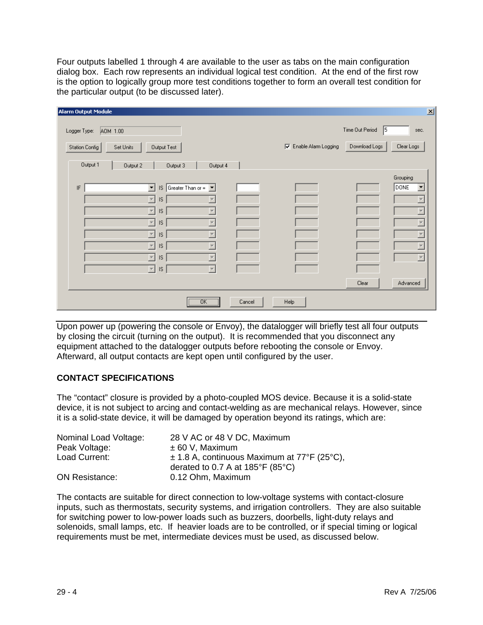Four outputs labelled 1 through 4 are available to the user as tabs on the main configuration dialog box. Each row represents an individual logical test condition. At the end of the first row is the option to logically group more test conditions together to form an overall test condition for the particular output (to be discussed later).

| Alarm Output Module               |                                                                   |                        |                       | $\vert x \vert$                         |
|-----------------------------------|-------------------------------------------------------------------|------------------------|-----------------------|-----------------------------------------|
| Logger Type:<br>AOM 1.00          |                                                                   |                        | Time Out Period<br>15 | sec.                                    |
| Station Config<br>Set Units       | Output Test                                                       | □ Enable Alarm Logging | Download Logs         | Clear Logs                              |
| Output 1<br>Output 2              | Output 3<br>Output 4                                              |                        |                       |                                         |
|                                   |                                                                   |                        |                       | Grouping                                |
| $\ensuremath{\mathsf{IF}}\xspace$ | IS Greater Than or = $\boxed{\mathbf{v}}$<br>▼                    |                        |                       | <b>DONE</b><br>$\overline{\phantom{a}}$ |
|                                   | $\overline{\phantom{a}}$<br>IS.                                   |                        |                       |                                         |
|                                   | $\overline{\phantom{a}}$<br>IS.                                   |                        |                       | $\overline{\mathcal{M}}$                |
|                                   | $\overline{\phantom{a}}$<br>IS.<br>$\overline{\mathbf{v}}$        |                        |                       | $\overline{\phantom{a}}$                |
|                                   | $\overline{\phantom{a}}$<br>$\overline{\mathcal{M}}$<br>IS.       |                        |                       | $\overline{\mathbf{v}}$                 |
|                                   | $\overline{\phantom{a}}$<br>$\overline{\mathbf{v}}$<br>IS.        |                        |                       | $\overline{\mathbf{v}}$                 |
|                                   | $\overline{\phantom{a}}$<br>$\overline{\mathcal{M}}$<br>1S        |                        |                       | $\overline{\phantom{a}}$                |
|                                   | $\overline{\mathbf{v}}$<br>$\vert \overline{\nabla} \vert$<br>IS. |                        |                       |                                         |
|                                   |                                                                   |                        |                       |                                         |
|                                   |                                                                   |                        | Clear                 | Advanced                                |
|                                   | $\overline{X}$<br>                                                | Help<br>Cancel         |                       |                                         |

Upon power up (powering the console or Envoy), the datalogger will briefly test all four outputs by closing the circuit (turning on the output). It is recommended that you disconnect any equipment attached to the datalogger outputs before rebooting the console or Envoy. Afterward, all output contacts are kept open until configured by the user.

# **CONTACT SPECIFICATIONS**

The "contact" closure is provided by a photo-coupled MOS device. Because it is a solid-state device, it is not subject to arcing and contact-welding as are mechanical relays. However, since it is a solid-state device, it will be damaged by operation beyond its ratings, which are:

| Nominal Load Voltage: | 28 V AC or 48 V DC, Maximum                                                                             |
|-----------------------|---------------------------------------------------------------------------------------------------------|
| Peak Voltage:         | $\pm$ 60 V, Maximum                                                                                     |
| Load Current:         | $\pm$ 1.8 A, continuous Maximum at 77°F (25°C),<br>derated to 0.7 A at $185^{\circ}F$ (85 $^{\circ}C$ ) |
| <b>ON Resistance:</b> | 0.12 Ohm, Maximum                                                                                       |

The contacts are suitable for direct connection to low-voltage systems with contact-closure inputs, such as thermostats, security systems, and irrigation controllers. They are also suitable for switching power to low-power loads such as buzzers, doorbells, light-duty relays and solenoids, small lamps, etc. If heavier loads are to be controlled, or if special timing or logical requirements must be met, intermediate devices must be used, as discussed below.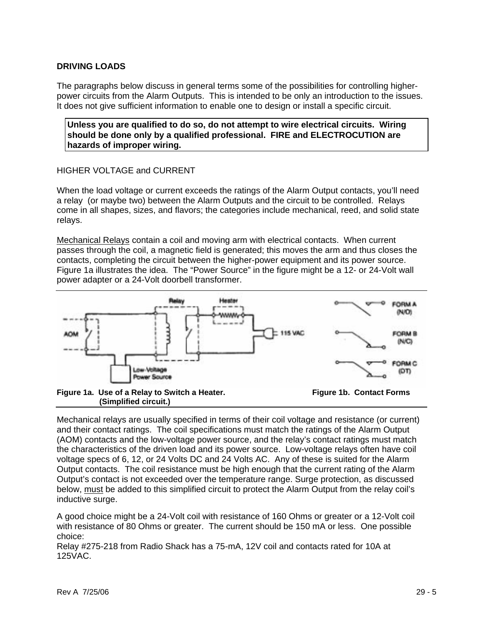# **DRIVING LOADS**

The paragraphs below discuss in general terms some of the possibilities for controlling higherpower circuits from the Alarm Outputs. This is intended to be only an introduction to the issues. It does not give sufficient information to enable one to design or install a specific circuit.

**Unless you are qualified to do so, do not attempt to wire electrical circuits. Wiring should be done only by a qualified professional. FIRE and ELECTROCUTION are hazards of improper wiring.** 

# HIGHER VOLTAGE and CURRENT

When the load voltage or current exceeds the ratings of the Alarm Output contacts, you'll need a relay (or maybe two) between the Alarm Outputs and the circuit to be controlled. Relays come in all shapes, sizes, and flavors; the categories include mechanical, reed, and solid state relays.

Mechanical Relays contain a coil and moving arm with electrical contacts. When current passes through the coil, a magnetic field is generated; this moves the arm and thus closes the contacts, completing the circuit between the higher-power equipment and its power source. Figure 1a illustrates the idea. The "Power Source" in the figure might be a 12- or 24-Volt wall power adapter or a 24-Volt doorbell transformer.



 **(Simplified circuit.)** 

Mechanical relays are usually specified in terms of their coil voltage and resistance (or current) and their contact ratings. The coil specifications must match the ratings of the Alarm Output (AOM) contacts and the low-voltage power source, and the relay's contact ratings must match the characteristics of the driven load and its power source. Low-voltage relays often have coil voltage specs of 6, 12, or 24 Volts DC and 24 Volts AC. Any of these is suited for the Alarm Output contacts. The coil resistance must be high enough that the current rating of the Alarm Output's contact is not exceeded over the temperature range. Surge protection, as discussed below, must be added to this simplified circuit to protect the Alarm Output from the relay coil's inductive surge.

A good choice might be a 24-Volt coil with resistance of 160 Ohms or greater or a 12-Volt coil with resistance of 80 Ohms or greater. The current should be 150 mA or less. One possible choice:

Relay #275-218 from Radio Shack has a 75-mA, 12V coil and contacts rated for 10A at 125VAC.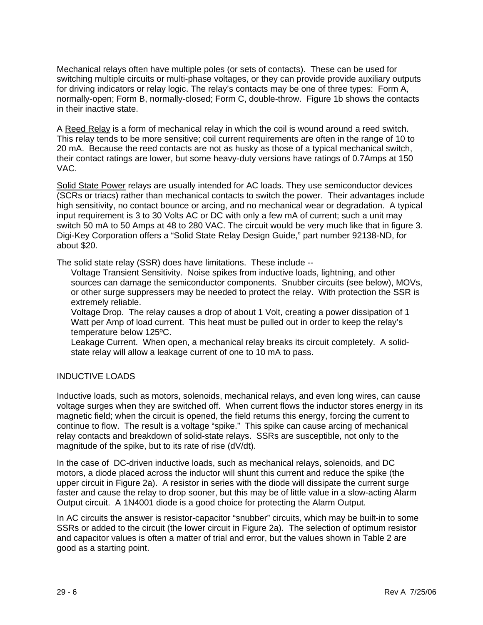Mechanical relays often have multiple poles (or sets of contacts). These can be used for switching multiple circuits or multi-phase voltages, or they can provide provide auxiliary outputs for driving indicators or relay logic. The relay's contacts may be one of three types: Form A, normally-open; Form B, normally-closed; Form C, double-throw. Figure 1b shows the contacts in their inactive state.

A Reed Relay is a form of mechanical relay in which the coil is wound around a reed switch. This relay tends to be more sensitive; coil current requirements are often in the range of 10 to 20 mA. Because the reed contacts are not as husky as those of a typical mechanical switch, their contact ratings are lower, but some heavy-duty versions have ratings of 0.7Amps at 150 VAC.

Solid State Power relays are usually intended for AC loads. They use semiconductor devices (SCRs or triacs) rather than mechanical contacts to switch the power. Their advantages include high sensitivity, no contact bounce or arcing, and no mechanical wear or degradation. A typical input requirement is 3 to 30 Volts AC or DC with only a few mA of current; such a unit may switch 50 mA to 50 Amps at 48 to 280 VAC. The circuit would be very much like that in figure 3. Digi-Key Corporation offers a "Solid State Relay Design Guide," part number 92138-ND, for about \$20.

The solid state relay (SSR) does have limitations. These include --

 Voltage Transient Sensitivity. Noise spikes from inductive loads, lightning, and other sources can damage the semiconductor components. Snubber circuits (see below), MOVs, or other surge suppressers may be needed to protect the relay. With protection the SSR is extremely reliable.

 Voltage Drop. The relay causes a drop of about 1 Volt, creating a power dissipation of 1 Watt per Amp of load current. This heat must be pulled out in order to keep the relay's temperature below 125ºC.

 Leakage Current. When open, a mechanical relay breaks its circuit completely. A solidstate relay will allow a leakage current of one to 10 mA to pass.

# INDUCTIVE LOADS

Inductive loads, such as motors, solenoids, mechanical relays, and even long wires, can cause voltage surges when they are switched off. When current flows the inductor stores energy in its magnetic field; when the circuit is opened, the field returns this energy, forcing the current to continue to flow. The result is a voltage "spike." This spike can cause arcing of mechanical relay contacts and breakdown of solid-state relays. SSRs are susceptible, not only to the magnitude of the spike, but to its rate of rise (dV/dt).

In the case of DC-driven inductive loads, such as mechanical relays, solenoids, and DC motors, a diode placed across the inductor will shunt this current and reduce the spike (the upper circuit in Figure 2a). A resistor in series with the diode will dissipate the current surge faster and cause the relay to drop sooner, but this may be of little value in a slow-acting Alarm Output circuit. A 1N4001 diode is a good choice for protecting the Alarm Output.

In AC circuits the answer is resistor-capacitor "snubber" circuits, which may be built-in to some SSRs or added to the circuit (the lower circuit in Figure 2a). The selection of optimum resistor and capacitor values is often a matter of trial and error, but the values shown in Table 2 are good as a starting point. ľ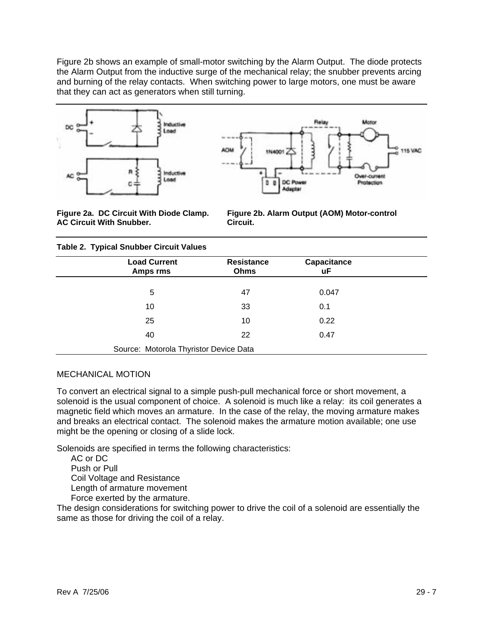Figure 2b shows an example of small-motor switching by the Alarm Output. The diode protects the Alarm Output from the inductive surge of the mechanical relay; the snubber prevents arcing and burning of the relay contacts. When switching power to large motors, one must be aware that they can act as generators when still turning.





**AC Circuit With Snubber.** 

**Figure 2a. DC Circuit With Diode Clamp. Figure 2b. Alarm Output (AOM) Motor-control** 

|  |  | <b>Table 2. Typical Snubber Circuit Values</b> |  |  |
|--|--|------------------------------------------------|--|--|
|--|--|------------------------------------------------|--|--|

| <b>Load Current</b><br>Amps rms        | <b>Resistance</b><br>Ohms | Capacitance<br>uF |  |
|----------------------------------------|---------------------------|-------------------|--|
| 5                                      | 47                        | 0.047             |  |
| 10                                     | 33                        | 0.1               |  |
| 25                                     | 10                        | 0.22              |  |
| 40                                     | 22                        | 0.47              |  |
| Source: Motorola Thyristor Device Data |                           |                   |  |

# MECHANICAL MOTION

To convert an electrical signal to a simple push-pull mechanical force or short movement, a solenoid is the usual component of choice. A solenoid is much like a relay: its coil generates a magnetic field which moves an armature. In the case of the relay, the moving armature makes and breaks an electrical contact. The solenoid makes the armature motion available; one use might be the opening or closing of a slide lock.

Solenoids are specified in terms the following characteristics:

 AC or DC Push or Pull Coil Voltage and Resistance Length of armature movement Force exerted by the armature.

The design considerations for switching power to drive the coil of a solenoid are essentially the same as those for driving the coil of a relay.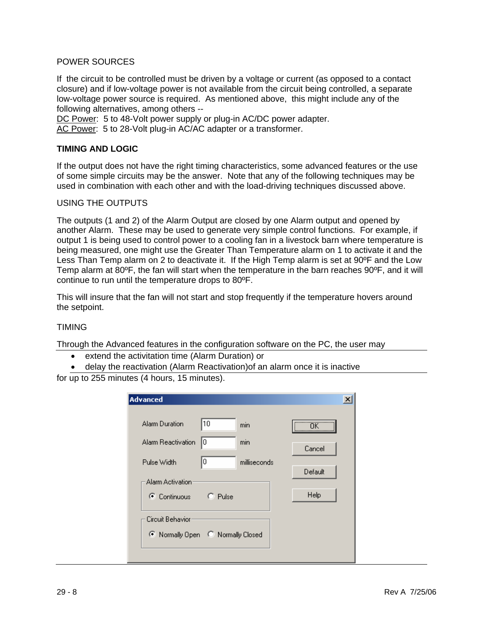#### POWER SOURCES

If the circuit to be controlled must be driven by a voltage or current (as opposed to a contact closure) and if low-voltage power is not available from the circuit being controlled, a separate low-voltage power source is required. As mentioned above, this might include any of the following alternatives, among others --

DC Power: 5 to 48-Volt power supply or plug-in AC/DC power adapter. AC Power: 5 to 28-Volt plug-in AC/AC adapter or a transformer.

# **TIMING AND LOGIC**

If the output does not have the right timing characteristics, some advanced features or the use of some simple circuits may be the answer. Note that any of the following techniques may be used in combination with each other and with the load-driving techniques discussed above.

#### USING THE OUTPUTS

The outputs (1 and 2) of the Alarm Output are closed by one Alarm output and opened by another Alarm. These may be used to generate very simple control functions. For example, if output 1 is being used to control power to a cooling fan in a livestock barn where temperature is being measured, one might use the Greater Than Temperature alarm on 1 to activate it and the Less Than Temp alarm on 2 to deactivate it. If the High Temp alarm is set at 90ºF and the Low Temp alarm at 80ºF, the fan will start when the temperature in the barn reaches 90ºF, and it will continue to run until the temperature drops to 80ºF.

This will insure that the fan will not start and stop frequently if the temperature hovers around the setpoint.

#### TIMING

Through the Advanced features in the configuration software on the PC, the user may

- extend the activitation time (Alarm Duration) or
- delay the reactivation (Alarm Reactivation)of an alarm once it is inactive

for up to 255 minutes (4 hours, 15 minutes).

| <b>Advanced</b>                               | $\overline{\mathbf{x}}$      |
|-----------------------------------------------|------------------------------|
| 10<br>Alarm Duration<br>min                   | $\overline{\mathsf{nk}}$<br> |
| Alarm Reactivation<br>I٥<br>min               | Cancel                       |
| 10<br>milliseconds<br>Pulse Width             | Default                      |
| Alarm Activation<br>C Continuous<br>- ○ Pulse | Help                         |
| Circuit Behavior                              |                              |
| C Normally Open C Normally Closed             |                              |
|                                               |                              |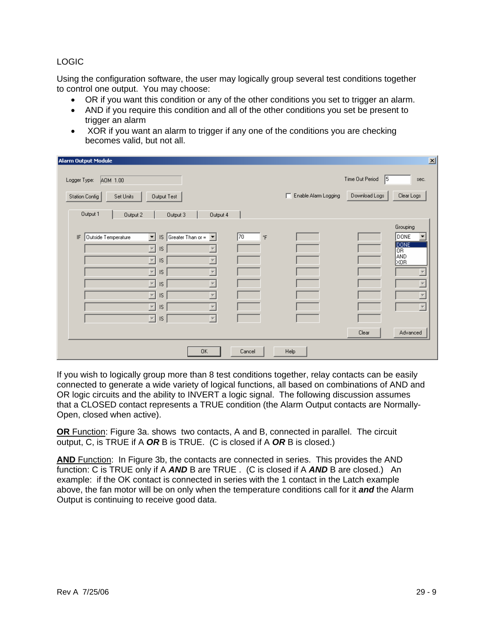# LOGIC

Using the configuration software, the user may logically group several test conditions together to control one output. You may choose:

- OR if you want this condition or any of the other conditions you set to trigger an alarm.
- AND if you require this condition and all of the other conditions you set be present to trigger an alarm
- XOR if you want an alarm to trigger if any one of the conditions you are checking becomes valid, but not all.

| Alarm Output Module                                                                                                                                                                                                                                                                                                                                                                                                                                                                                                                                              |                           |                                        | $\mathbf{x}$                                                                                                                         |
|------------------------------------------------------------------------------------------------------------------------------------------------------------------------------------------------------------------------------------------------------------------------------------------------------------------------------------------------------------------------------------------------------------------------------------------------------------------------------------------------------------------------------------------------------------------|---------------------------|----------------------------------------|--------------------------------------------------------------------------------------------------------------------------------------|
| AOM 1.00<br>Logger Type:<br>Station Config<br>Output Test<br>Set Units<br>Output 1<br>Output 2<br>Output 3<br>Output 4                                                                                                                                                                                                                                                                                                                                                                                                                                           | Enable Alarm Logging<br>п | Time Out Period<br>15<br>Download Logs | sec.<br>Clear Logs                                                                                                                   |
| 70<br>IS Greater Than or = $\boxed{\mathbf{v}}$<br>Outside Temperature<br>$\blacktriangledown$<br>IF<br>*F<br>$\overline{\phantom{a}}$<br><b>IS</b><br>$\overline{\phantom{a}}$<br>$\overline{\nabla}$<br><b>IS</b><br>$\overline{\mathbf{v}}$<br>$\overline{\phantom{m}}$<br><b>IS</b><br>$\overline{\phantom{a}}$<br>$\overline{\mathcal{M}}$<br><b>IS</b><br>$\overline{\phantom{a}}$<br>$\overline{\nabla}$<br><b>IS</b><br>$\overline{\phantom{m}}$<br>$\overline{\phantom{a}}$<br><b>IS</b><br>$\overline{\phantom{a}}$<br>$\overline{\phantom{a}}$<br>IS. |                           |                                        | Grouping<br>DONE<br><b>DONE</b><br>OR.<br>AND.<br>XOR<br>$\overline{\phantom{a}}$<br>$\overline{\nabla}$<br>$\overline{\phantom{m}}$ |
| <b>OK</b><br>Cancel                                                                                                                                                                                                                                                                                                                                                                                                                                                                                                                                              | Help                      | Clear                                  | Advanced                                                                                                                             |

If you wish to logically group more than 8 test conditions together, relay contacts can be easily connected to generate a wide variety of logical functions, all based on combinations of AND and OR logic circuits and the ability to INVERT a logic signal. The following discussion assumes that a CLOSED contact represents a TRUE condition (the Alarm Output contacts are Normally-Open, closed when active).

**OR** Function: Figure 3a. shows two contacts, A and B, connected in parallel. The circuit output, C, is TRUE if A *OR* B is TRUE. (C is closed if A *OR* B is closed.)

AND Function: In Figure 3b, the contacts are connected in series. This provides the AND function: C is TRUE only if A *AND* B are TRUE . (C is closed if A *AND* B are closed.) An example: if the OK contact is connected in series with the 1 contact in the Latch example above, the fan motor will be on only when the temperature conditions call for it *and* the Alarm Output is continuing to receive good data.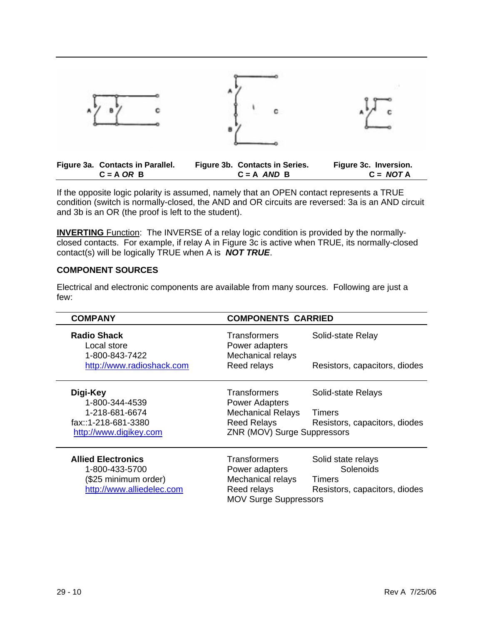

If the opposite logic polarity is assumed, namely that an OPEN contact represents a TRUE condition (switch is normally-closed, the AND and OR circuits are reversed: 3a is an AND circuit and 3b is an OR (the proof is left to the student).

**INVERTING** Function: The INVERSE of a relay logic condition is provided by the normallyclosed contacts. For example, if relay A in Figure 3c is active when TRUE, its normally-closed contact(s) will be logically TRUE when A is *NOT TRUE*.

### **COMPONENT SOURCES**

| <b>COMPANY</b>                                                                                   | <b>COMPONENTS CARRIED</b>                                                                                 |                                                                            |
|--------------------------------------------------------------------------------------------------|-----------------------------------------------------------------------------------------------------------|----------------------------------------------------------------------------|
| <b>Radio Shack</b><br>Local store<br>1-800-843-7422                                              | <b>Transformers</b><br>Power adapters<br>Mechanical relays                                                | Solid-state Relay                                                          |
| http://www.radioshack.com                                                                        | Reed relays                                                                                               | Resistors, capacitors, diodes                                              |
| Digi-Key<br>1-800-344-4539                                                                       | Transformers<br><b>Power Adapters</b>                                                                     | Solid-state Relays                                                         |
| 1-218-681-6674                                                                                   | <b>Mechanical Relays</b>                                                                                  | Timers                                                                     |
| fax::1-218-681-3380<br>http://www.digikey.com                                                    | <b>Reed Relays</b><br>ZNR (MOV) Surge Suppressors                                                         | Resistors, capacitors, diodes                                              |
| <b>Allied Electronics</b><br>1-800-433-5700<br>(\$25 minimum order)<br>http://www.alliedelec.com | <b>Transformers</b><br>Power adapters<br>Mechanical relays<br>Reed relays<br><b>MOV Surge Suppressors</b> | Solid state relays<br>Solenoids<br>Timers<br>Resistors, capacitors, diodes |

Electrical and electronic components are available from many sources. Following are just a few: